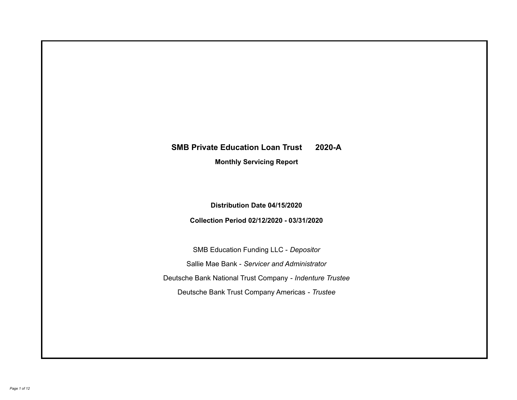# **SMB Private Education Loan Trust 2020-A Monthly Servicing Report**

## **Distribution Date 04/15/2020**

## **Collection Period 02/12/2020 - 03/31/2020**

SMB Education Funding LLC - *Depositor* Sallie Mae Bank - *Servicer and Administrator* Deutsche Bank National Trust Company - *Indenture Trustee* Deutsche Bank Trust Company Americas - *Trustee*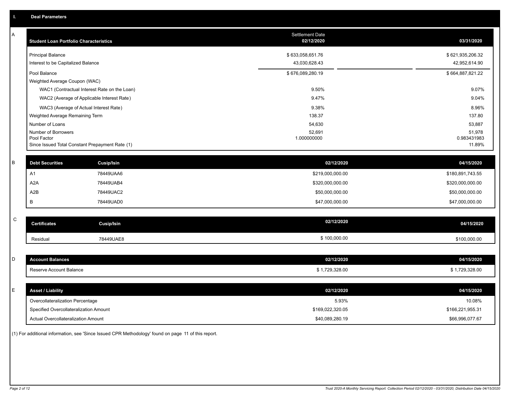| A           | <b>Student Loan Portfolio Characteristics</b>   |                   | <b>Settlement Date</b><br>02/12/2020 | 03/31/2020            |
|-------------|-------------------------------------------------|-------------------|--------------------------------------|-----------------------|
|             | <b>Principal Balance</b>                        |                   | \$633,058,651.76                     | \$621,935,206.32      |
|             | Interest to be Capitalized Balance              |                   | 43,030,628.43                        | 42,952,614.90         |
|             | Pool Balance                                    |                   | \$676,089,280.19                     | \$664,887,821.22      |
|             | Weighted Average Coupon (WAC)                   |                   |                                      |                       |
|             | WAC1 (Contractual Interest Rate on the Loan)    |                   | 9.50%                                | 9.07%                 |
|             | WAC2 (Average of Applicable Interest Rate)      |                   | 9.47%                                | 9.04%                 |
|             | WAC3 (Average of Actual Interest Rate)          |                   | 9.38%                                | 8.96%                 |
|             | Weighted Average Remaining Term                 |                   | 138.37                               | 137.80                |
|             | Number of Loans                                 |                   | 54,630                               | 53,887                |
|             | Number of Borrowers<br>Pool Factor              |                   | 52,691<br>1.000000000                | 51,978<br>0.983431983 |
|             | Since Issued Total Constant Prepayment Rate (1) |                   |                                      | 11.89%                |
|             |                                                 |                   |                                      |                       |
| B           | <b>Debt Securities</b>                          | Cusip/Isin        | 02/12/2020                           | 04/15/2020            |
|             | A1                                              | 78449UAA6         | \$219,000,000.00                     | \$180,891,743.55      |
|             | A <sub>2</sub> A                                | 78449UAB4         | \$320,000,000.00                     | \$320,000,000.00      |
|             | A2B                                             | 78449UAC2         | \$50,000,000.00                      | \$50,000,000.00       |
|             | B                                               | 78449UAD0         | \$47,000,000.00                      | \$47,000,000.00       |
|             |                                                 |                   |                                      |                       |
| $\mathsf C$ | <b>Certificates</b>                             | <b>Cusip/Isin</b> | 02/12/2020                           | 04/15/2020            |
|             | Residual                                        | 78449UAE8         | \$100,000.00                         | \$100,000.00          |
|             |                                                 |                   |                                      |                       |
| D           | <b>Account Balances</b>                         |                   | 02/12/2020                           | 04/15/2020            |
|             | Reserve Account Balance                         |                   | \$1,729,328.00                       | \$1,729,328.00        |
|             |                                                 |                   |                                      |                       |
| E           | <b>Asset / Liability</b>                        |                   | 02/12/2020                           | 04/15/2020            |
|             | Overcollateralization Percentage                |                   | 5.93%                                | 10.08%                |
|             | Specified Overcollateralization Amount          |                   | \$169,022,320.05                     | \$166,221,955.31      |
|             | Actual Overcollateralization Amount             |                   | \$40.089.280.19                      | \$66.996.077.67       |

(1) For additional information, see 'Since Issued CPR Methodology' found on page 11 of this report.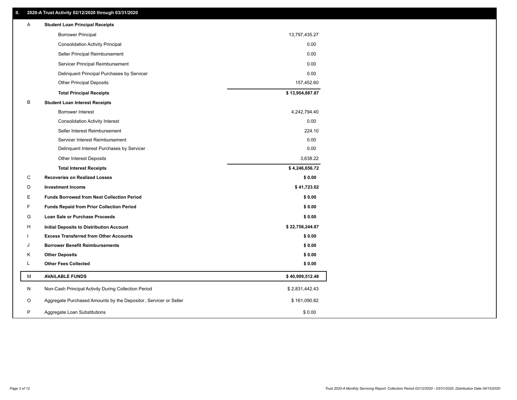| <b>Borrower Principal</b><br>13,797,435.27<br>0.00<br><b>Consolidation Activity Principal</b><br>0.00<br>Seller Principal Reimbursement<br>0.00<br>Servicer Principal Reimbursement<br>0.00<br>Delinquent Principal Purchases by Servicer<br><b>Other Principal Deposits</b><br>157,452.60<br>\$13,954,887.87<br><b>Total Principal Receipts</b><br>В<br><b>Student Loan Interest Receipts</b><br><b>Borrower Interest</b><br>4,242,794.40<br>0.00<br><b>Consolidation Activity Interest</b><br>Seller Interest Reimbursement<br>224.10<br>0.00<br>Servicer Interest Reimbursement<br>0.00<br>Delinquent Interest Purchases by Servicer<br>3,638.22<br><b>Other Interest Deposits</b><br>\$4,246,656.72<br><b>Total Interest Receipts</b><br>C<br>\$0.00<br><b>Recoveries on Realized Losses</b><br>D<br><b>Investment Income</b><br>\$41,723.02<br>\$0.00<br>E<br><b>Funds Borrowed from Next Collection Period</b><br>F<br>\$0.00<br><b>Funds Repaid from Prior Collection Period</b><br>G<br>\$0.00<br>Loan Sale or Purchase Proceeds<br>н<br>\$22,756,244.87<br>Initial Deposits to Distribution Account<br>\$0.00<br><b>Excess Transferred from Other Accounts</b><br><b>Borrower Benefit Reimbursements</b><br>\$0.00<br>J<br>Κ<br><b>Other Deposits</b><br>\$0.00<br>L<br><b>Other Fees Collected</b><br>\$0.00<br>М<br><b>AVAILABLE FUNDS</b><br>\$40,999,512.48<br>N<br>Non-Cash Principal Activity During Collection Period<br>\$2,831,442.43<br>O<br>Aggregate Purchased Amounts by the Depositor, Servicer or Seller<br>\$161,090.82 | Α | <b>Student Loan Principal Receipts</b> |        |
|--------------------------------------------------------------------------------------------------------------------------------------------------------------------------------------------------------------------------------------------------------------------------------------------------------------------------------------------------------------------------------------------------------------------------------------------------------------------------------------------------------------------------------------------------------------------------------------------------------------------------------------------------------------------------------------------------------------------------------------------------------------------------------------------------------------------------------------------------------------------------------------------------------------------------------------------------------------------------------------------------------------------------------------------------------------------------------------------------------------------------------------------------------------------------------------------------------------------------------------------------------------------------------------------------------------------------------------------------------------------------------------------------------------------------------------------------------------------------------------------------------------------------------------------------|---|----------------------------------------|--------|
|                                                                                                                                                                                                                                                                                                                                                                                                                                                                                                                                                                                                                                                                                                                                                                                                                                                                                                                                                                                                                                                                                                                                                                                                                                                                                                                                                                                                                                                                                                                                                  |   |                                        |        |
|                                                                                                                                                                                                                                                                                                                                                                                                                                                                                                                                                                                                                                                                                                                                                                                                                                                                                                                                                                                                                                                                                                                                                                                                                                                                                                                                                                                                                                                                                                                                                  |   |                                        |        |
|                                                                                                                                                                                                                                                                                                                                                                                                                                                                                                                                                                                                                                                                                                                                                                                                                                                                                                                                                                                                                                                                                                                                                                                                                                                                                                                                                                                                                                                                                                                                                  |   |                                        |        |
|                                                                                                                                                                                                                                                                                                                                                                                                                                                                                                                                                                                                                                                                                                                                                                                                                                                                                                                                                                                                                                                                                                                                                                                                                                                                                                                                                                                                                                                                                                                                                  |   |                                        |        |
|                                                                                                                                                                                                                                                                                                                                                                                                                                                                                                                                                                                                                                                                                                                                                                                                                                                                                                                                                                                                                                                                                                                                                                                                                                                                                                                                                                                                                                                                                                                                                  |   |                                        |        |
|                                                                                                                                                                                                                                                                                                                                                                                                                                                                                                                                                                                                                                                                                                                                                                                                                                                                                                                                                                                                                                                                                                                                                                                                                                                                                                                                                                                                                                                                                                                                                  |   |                                        |        |
|                                                                                                                                                                                                                                                                                                                                                                                                                                                                                                                                                                                                                                                                                                                                                                                                                                                                                                                                                                                                                                                                                                                                                                                                                                                                                                                                                                                                                                                                                                                                                  |   |                                        |        |
|                                                                                                                                                                                                                                                                                                                                                                                                                                                                                                                                                                                                                                                                                                                                                                                                                                                                                                                                                                                                                                                                                                                                                                                                                                                                                                                                                                                                                                                                                                                                                  |   |                                        |        |
|                                                                                                                                                                                                                                                                                                                                                                                                                                                                                                                                                                                                                                                                                                                                                                                                                                                                                                                                                                                                                                                                                                                                                                                                                                                                                                                                                                                                                                                                                                                                                  |   |                                        |        |
|                                                                                                                                                                                                                                                                                                                                                                                                                                                                                                                                                                                                                                                                                                                                                                                                                                                                                                                                                                                                                                                                                                                                                                                                                                                                                                                                                                                                                                                                                                                                                  |   |                                        |        |
|                                                                                                                                                                                                                                                                                                                                                                                                                                                                                                                                                                                                                                                                                                                                                                                                                                                                                                                                                                                                                                                                                                                                                                                                                                                                                                                                                                                                                                                                                                                                                  |   |                                        |        |
|                                                                                                                                                                                                                                                                                                                                                                                                                                                                                                                                                                                                                                                                                                                                                                                                                                                                                                                                                                                                                                                                                                                                                                                                                                                                                                                                                                                                                                                                                                                                                  |   |                                        |        |
|                                                                                                                                                                                                                                                                                                                                                                                                                                                                                                                                                                                                                                                                                                                                                                                                                                                                                                                                                                                                                                                                                                                                                                                                                                                                                                                                                                                                                                                                                                                                                  |   |                                        |        |
|                                                                                                                                                                                                                                                                                                                                                                                                                                                                                                                                                                                                                                                                                                                                                                                                                                                                                                                                                                                                                                                                                                                                                                                                                                                                                                                                                                                                                                                                                                                                                  |   |                                        |        |
|                                                                                                                                                                                                                                                                                                                                                                                                                                                                                                                                                                                                                                                                                                                                                                                                                                                                                                                                                                                                                                                                                                                                                                                                                                                                                                                                                                                                                                                                                                                                                  |   |                                        |        |
|                                                                                                                                                                                                                                                                                                                                                                                                                                                                                                                                                                                                                                                                                                                                                                                                                                                                                                                                                                                                                                                                                                                                                                                                                                                                                                                                                                                                                                                                                                                                                  |   |                                        |        |
|                                                                                                                                                                                                                                                                                                                                                                                                                                                                                                                                                                                                                                                                                                                                                                                                                                                                                                                                                                                                                                                                                                                                                                                                                                                                                                                                                                                                                                                                                                                                                  |   |                                        |        |
|                                                                                                                                                                                                                                                                                                                                                                                                                                                                                                                                                                                                                                                                                                                                                                                                                                                                                                                                                                                                                                                                                                                                                                                                                                                                                                                                                                                                                                                                                                                                                  |   |                                        |        |
|                                                                                                                                                                                                                                                                                                                                                                                                                                                                                                                                                                                                                                                                                                                                                                                                                                                                                                                                                                                                                                                                                                                                                                                                                                                                                                                                                                                                                                                                                                                                                  |   |                                        |        |
|                                                                                                                                                                                                                                                                                                                                                                                                                                                                                                                                                                                                                                                                                                                                                                                                                                                                                                                                                                                                                                                                                                                                                                                                                                                                                                                                                                                                                                                                                                                                                  |   |                                        |        |
|                                                                                                                                                                                                                                                                                                                                                                                                                                                                                                                                                                                                                                                                                                                                                                                                                                                                                                                                                                                                                                                                                                                                                                                                                                                                                                                                                                                                                                                                                                                                                  |   |                                        |        |
|                                                                                                                                                                                                                                                                                                                                                                                                                                                                                                                                                                                                                                                                                                                                                                                                                                                                                                                                                                                                                                                                                                                                                                                                                                                                                                                                                                                                                                                                                                                                                  |   |                                        |        |
|                                                                                                                                                                                                                                                                                                                                                                                                                                                                                                                                                                                                                                                                                                                                                                                                                                                                                                                                                                                                                                                                                                                                                                                                                                                                                                                                                                                                                                                                                                                                                  |   |                                        |        |
|                                                                                                                                                                                                                                                                                                                                                                                                                                                                                                                                                                                                                                                                                                                                                                                                                                                                                                                                                                                                                                                                                                                                                                                                                                                                                                                                                                                                                                                                                                                                                  |   |                                        |        |
|                                                                                                                                                                                                                                                                                                                                                                                                                                                                                                                                                                                                                                                                                                                                                                                                                                                                                                                                                                                                                                                                                                                                                                                                                                                                                                                                                                                                                                                                                                                                                  |   |                                        |        |
|                                                                                                                                                                                                                                                                                                                                                                                                                                                                                                                                                                                                                                                                                                                                                                                                                                                                                                                                                                                                                                                                                                                                                                                                                                                                                                                                                                                                                                                                                                                                                  |   |                                        |        |
|                                                                                                                                                                                                                                                                                                                                                                                                                                                                                                                                                                                                                                                                                                                                                                                                                                                                                                                                                                                                                                                                                                                                                                                                                                                                                                                                                                                                                                                                                                                                                  |   |                                        |        |
|                                                                                                                                                                                                                                                                                                                                                                                                                                                                                                                                                                                                                                                                                                                                                                                                                                                                                                                                                                                                                                                                                                                                                                                                                                                                                                                                                                                                                                                                                                                                                  |   |                                        |        |
|                                                                                                                                                                                                                                                                                                                                                                                                                                                                                                                                                                                                                                                                                                                                                                                                                                                                                                                                                                                                                                                                                                                                                                                                                                                                                                                                                                                                                                                                                                                                                  | P | Aggregate Loan Substitutions           | \$0.00 |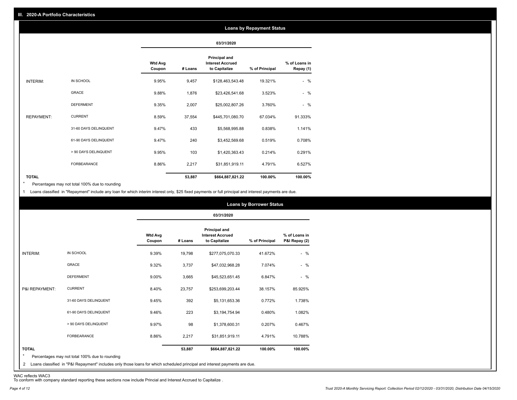#### **Loans by Repayment Status**

|                   |                       |                          |         | 03/31/2020                                                       |                |                            |
|-------------------|-----------------------|--------------------------|---------|------------------------------------------------------------------|----------------|----------------------------|
|                   |                       | <b>Wtd Avg</b><br>Coupon | # Loans | <b>Principal and</b><br><b>Interest Accrued</b><br>to Capitalize | % of Principal | % of Loans in<br>Repay (1) |
| INTERIM:          | IN SCHOOL             | 9.95%                    | 9,457   | \$128,463,543.48                                                 | 19.321%        | $-$ %                      |
|                   | <b>GRACE</b>          | 9.88%                    | 1,876   | \$23,426,541.68                                                  | 3.523%         | $-$ %                      |
|                   | <b>DEFERMENT</b>      | 9.35%                    | 2,007   | \$25,002,807.26                                                  | 3.760%         | $-$ %                      |
| <b>REPAYMENT:</b> | <b>CURRENT</b>        | 8.59%                    | 37,554  | \$445,701,080.70                                                 | 67.034%        | 91.333%                    |
|                   | 31-60 DAYS DELINQUENT | 9.47%                    | 433     | \$5,568,995.88                                                   | 0.838%         | 1.141%                     |
|                   | 61-90 DAYS DELINQUENT | 9.47%                    | 240     | \$3,452,569.68                                                   | 0.519%         | 0.708%                     |
|                   | > 90 DAYS DELINQUENT  | 9.95%                    | 103     | \$1,420,363.43                                                   | 0.214%         | 0.291%                     |
|                   | <b>FORBEARANCE</b>    | 8.86%                    | 2,217   | \$31,851,919.11                                                  | 4.791%         | 6.527%                     |
| <b>TOTAL</b>      |                       |                          | 53,887  | \$664,887,821.22                                                 | 100.00%        | 100.00%                    |

Percentages may not total 100% due to rounding \*

1 Loans classified in "Repayment" include any loan for which interim interest only, \$25 fixed payments or full principal and interest payments are due.

|                 |                       |                          | 03/31/2020 |                                                                  |                |                                |  |
|-----------------|-----------------------|--------------------------|------------|------------------------------------------------------------------|----------------|--------------------------------|--|
|                 |                       | <b>Wtd Avg</b><br>Coupon | # Loans    | <b>Principal and</b><br><b>Interest Accrued</b><br>to Capitalize | % of Principal | % of Loans in<br>P&I Repay (2) |  |
| <b>INTERIM:</b> | IN SCHOOL             | 9.39%                    | 19,798     | \$277,075,070.33                                                 | 41.672%        | $-$ %                          |  |
|                 | <b>GRACE</b>          | 9.32%                    | 3,737      | \$47,032,968.28                                                  | 7.074%         | $-$ %                          |  |
|                 | <b>DEFERMENT</b>      | 9.00%                    | 3,665      | \$45,523,651.45                                                  | 6.847%         | $-$ %                          |  |
| P&I REPAYMENT:  | <b>CURRENT</b>        | 8.40%                    | 23,757     | \$253,699,203.44                                                 | 38.157%        | 85.925%                        |  |
|                 | 31-60 DAYS DELINQUENT | 9.45%                    | 392        | \$5,131,653.36                                                   | 0.772%         | 1.738%                         |  |
|                 | 61-90 DAYS DELINQUENT | 9.46%                    | 223        | \$3,194,754.94                                                   | 0.480%         | 1.082%                         |  |
|                 | > 90 DAYS DELINQUENT  | 9.97%                    | 98         | \$1,378,600.31                                                   | 0.207%         | 0.467%                         |  |
|                 | <b>FORBEARANCE</b>    | 8.86%                    | 2,217      | \$31,851,919.11                                                  | 4.791%         | 10.788%                        |  |
| <b>TOTAL</b>    |                       |                          | 53,887     | \$664,887,821.22                                                 | 100.00%        | 100.00%                        |  |

<sup>2</sup> Loans classified in "P&I Repayment" includes only those loans for which scheduled principal and interest payments are due.

WAC reflects WAC3 To conform with company standard reporting these sections now include Princial and Interest Accrued to Capitalize .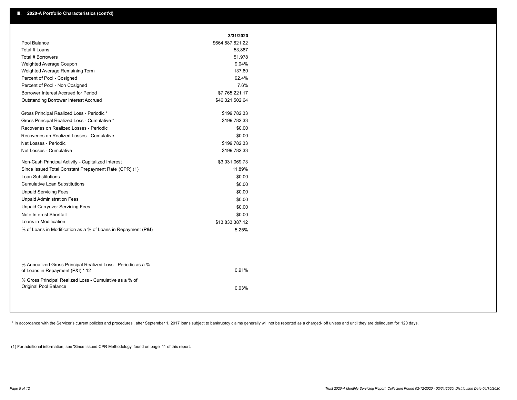|                                                       | 3/31/2020        |
|-------------------------------------------------------|------------------|
| Pool Balance                                          | \$664,887,821.22 |
| Total # Loans                                         | 53,887           |
| Total # Borrowers                                     | 51,978           |
| Weighted Average Coupon                               | 9.04%            |
| Weighted Average Remaining Term                       | 137.80           |
| Percent of Pool - Cosigned                            | 92.4%            |
| Percent of Pool - Non Cosigned                        | 7.6%             |
| Borrower Interest Accrued for Period                  | \$7,765,221.17   |
| Outstanding Borrower Interest Accrued                 | \$46,321,502.64  |
| Gross Principal Realized Loss - Periodic *            | \$199,782.33     |
| Gross Principal Realized Loss - Cumulative *          | \$199,782.33     |
| Recoveries on Realized Losses - Periodic              | \$0.00           |
| Recoveries on Realized Losses - Cumulative            | \$0.00           |
| Net Losses - Periodic                                 | \$199,782.33     |
| Net Losses - Cumulative                               | \$199,782.33     |
| Non-Cash Principal Activity - Capitalized Interest    | \$3,031,069.73   |
| Since Issued Total Constant Prepayment Rate (CPR) (1) | 11.89%           |
| Loan Substitutions                                    | \$0.00           |
| <b>Cumulative Loan Substitutions</b>                  | \$0.00           |
| <b>Unpaid Servicing Fees</b>                          | \$0.00           |
| <b>Unpaid Administration Fees</b>                     | \$0.00           |
| <b>Unpaid Carryover Servicing Fees</b>                | \$0.00           |
| Note Interest Shortfall                               | \$0.00           |
|                                                       | \$13,833,387.12  |
| Loans in Modification                                 |                  |

| % Annualized Gross Principal Realized Loss - Periodic as a %<br>of Loans in Repayment (P&I) * 12 | 0.91% |
|--------------------------------------------------------------------------------------------------|-------|
| % Gross Principal Realized Loss - Cumulative as a % of<br>Original Pool Balance                  | 0.03% |

\* In accordance with the Servicer's current policies and procedures, after September 1, 2017 loans subject to bankruptcy claims generally will not be reported as a charged- off unless and until they are delinquent for 120

(1) For additional information, see 'Since Issued CPR Methodology' found on page 11 of this report.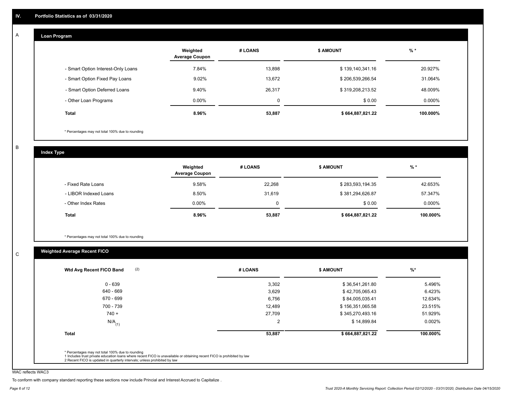#### **Loan Program**  A

|                                    | Weighted<br><b>Average Coupon</b> | # LOANS | <b>\$ AMOUNT</b> | $%$ *    |
|------------------------------------|-----------------------------------|---------|------------------|----------|
| - Smart Option Interest-Only Loans | 7.84%                             | 13,898  | \$139,140,341.16 | 20.927%  |
| - Smart Option Fixed Pay Loans     | 9.02%                             | 13.672  | \$206,539,266.54 | 31.064%  |
| - Smart Option Deferred Loans      | 9.40%                             | 26,317  | \$319,208,213.52 | 48.009%  |
| - Other Loan Programs              | $0.00\%$                          | 0       | \$0.00           | 0.000%   |
| <b>Total</b>                       | 8.96%                             | 53,887  | \$664,887,821.22 | 100.000% |

\* Percentages may not total 100% due to rounding

B

C

**Index Type**

|                       | Weighted<br><b>Average Coupon</b> | # LOANS | <b>\$ AMOUNT</b> | $%$ *    |
|-----------------------|-----------------------------------|---------|------------------|----------|
| - Fixed Rate Loans    | 9.58%                             | 22,268  | \$283,593,194.35 | 42.653%  |
| - LIBOR Indexed Loans | 8.50%                             | 31,619  | \$381,294,626.87 | 57.347%  |
| - Other Index Rates   | $0.00\%$                          | 0       | \$0.00           | 0.000%   |
| Total                 | 8.96%                             | 53,887  | \$664,887,821.22 | 100.000% |

\* Percentages may not total 100% due to rounding

## **Weighted Average Recent FICO**

| (2)<br>Wtd Avg Recent FICO Band | # LOANS | <b>\$ AMOUNT</b> | $%$ *    |
|---------------------------------|---------|------------------|----------|
| $0 - 639$                       | 3,302   | \$36,541,261.80  | 5.496%   |
| 640 - 669                       | 3,629   | \$42,705,065.43  | 6.423%   |
| 670 - 699                       | 6,756   | \$84,005,035.41  | 12.634%  |
| 700 - 739                       | 12,489  | \$156,351,065.58 | 23.515%  |
| $740 +$                         | 27,709  | \$345,270,493.16 | 51.929%  |
| $N/A$ <sub>(1)</sub>            | 2       | \$14,899.84      | 0.002%   |
| <b>Total</b>                    | 53,887  | \$664,887,821.22 | 100.000% |

WAC reflects WAC3

To conform with company standard reporting these sections now include Princial and Interest Accrued to Capitalize .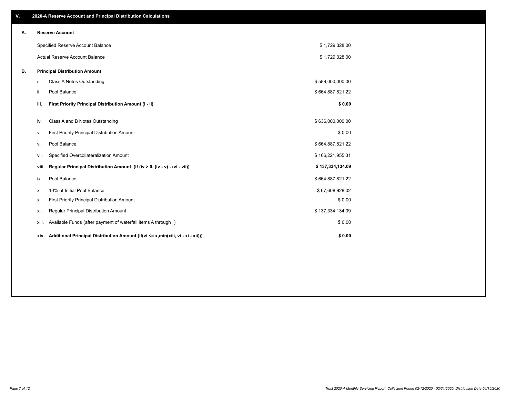| V. |       | 2020-A Reserve Account and Principal Distribution Calculations                       |                  |  |
|----|-------|--------------------------------------------------------------------------------------|------------------|--|
| Α. |       | <b>Reserve Account</b>                                                               |                  |  |
|    |       | Specified Reserve Account Balance                                                    | \$1,729,328.00   |  |
|    |       | Actual Reserve Account Balance                                                       | \$1,729,328.00   |  |
| В. |       | <b>Principal Distribution Amount</b>                                                 |                  |  |
|    | i.    | Class A Notes Outstanding                                                            | \$589,000,000.00 |  |
|    | ii.   | Pool Balance                                                                         | \$664,887,821.22 |  |
|    | iii.  | First Priority Principal Distribution Amount (i - ii)                                | \$0.00           |  |
|    | iv.   | Class A and B Notes Outstanding                                                      | \$636,000,000.00 |  |
|    | ν.    | First Priority Principal Distribution Amount                                         | \$0.00           |  |
|    | vi.   | Pool Balance                                                                         | \$664,887,821.22 |  |
|    | vii.  | Specified Overcollateralization Amount                                               | \$166,221,955.31 |  |
|    | viii. | Regular Principal Distribution Amount (if (iv > 0, (iv - v) - (vi - vii))            | \$137,334,134.09 |  |
|    | ix.   | Pool Balance                                                                         | \$664,887,821.22 |  |
|    | х.    | 10% of Initial Pool Balance                                                          | \$67,608,928.02  |  |
|    | xi.   | First Priority Principal Distribution Amount                                         | \$0.00           |  |
|    | xii.  | Regular Principal Distribution Amount                                                | \$137,334,134.09 |  |
|    | xiii. | Available Funds (after payment of waterfall items A through I)                       | \$0.00           |  |
|    |       | xiv. Additional Principal Distribution Amount (if(vi <= x,min(xiii, vi - xi - xii))) | \$0.00           |  |
|    |       |                                                                                      |                  |  |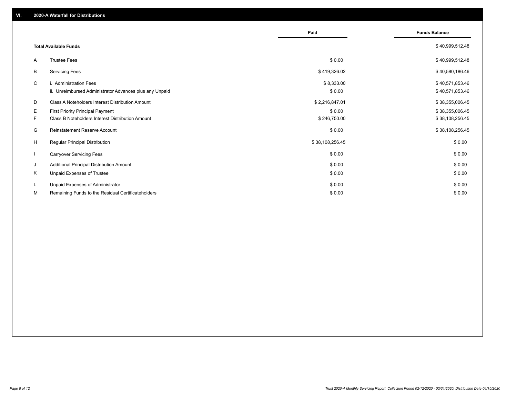|                          |                                                         | Paid            | <b>Funds Balance</b> |
|--------------------------|---------------------------------------------------------|-----------------|----------------------|
|                          | <b>Total Available Funds</b>                            |                 | \$40,999,512.48      |
| A                        | <b>Trustee Fees</b>                                     | \$0.00          | \$40,999,512.48      |
| В                        | <b>Servicing Fees</b>                                   | \$419,326.02    | \$40,580,186.46      |
| C                        | i. Administration Fees                                  | \$8,333.00      | \$40,571,853.46      |
|                          | ii. Unreimbursed Administrator Advances plus any Unpaid | \$0.00          | \$40,571,853.46      |
| D                        | Class A Noteholders Interest Distribution Amount        | \$2,216,847.01  | \$38,355,006.45      |
| E.                       | <b>First Priority Principal Payment</b>                 | \$0.00          | \$38,355,006.45      |
| F.                       | Class B Noteholders Interest Distribution Amount        | \$246,750.00    | \$38,108,256.45      |
| G                        | Reinstatement Reserve Account                           | \$0.00          | \$38,108,256.45      |
| H                        | Regular Principal Distribution                          | \$38,108,256.45 | \$0.00               |
| $\overline{\phantom{a}}$ | <b>Carryover Servicing Fees</b>                         | \$0.00          | \$0.00               |
| J                        | Additional Principal Distribution Amount                | \$0.00          | \$0.00               |
| Κ                        | Unpaid Expenses of Trustee                              | \$0.00          | \$0.00               |
| L                        | Unpaid Expenses of Administrator                        | \$0.00          | \$0.00               |
| М                        | Remaining Funds to the Residual Certificateholders      | \$0.00          | \$0.00               |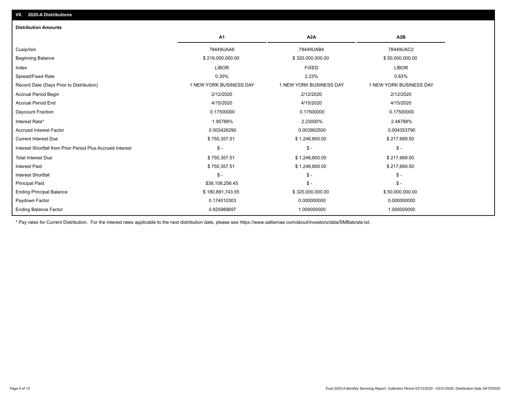| <b>Distribution Amounts</b>                                |                         |                         |                         |
|------------------------------------------------------------|-------------------------|-------------------------|-------------------------|
|                                                            | A1                      | A <sub>2</sub> A        | A <sub>2</sub> B        |
| Cusip/Isin                                                 | 78449UAA6               | 78449UAB4               | 78449UAC2               |
| <b>Beginning Balance</b>                                   | \$219,000,000.00        | \$320,000,000.00        | \$50,000,000.00         |
| Index                                                      | <b>LIBOR</b>            | <b>FIXED</b>            | <b>LIBOR</b>            |
| Spread/Fixed Rate                                          | 0.30%                   | 2.23%                   | 0.83%                   |
| Record Date (Days Prior to Distribution)                   | 1 NEW YORK BUSINESS DAY | 1 NEW YORK BUSINESS DAY | 1 NEW YORK BUSINESS DAY |
| Accrual Period Begin                                       | 2/12/2020               | 2/12/2020               | 2/12/2020               |
| <b>Accrual Period End</b>                                  | 4/15/2020               | 4/15/2020               | 4/15/2020               |
| Daycount Fraction                                          | 0.17500000              | 0.17500000              | 0.17500000              |
| Interest Rate*                                             | 1.95788%                | 2.23000%                | 2.48788%                |
| <b>Accrued Interest Factor</b>                             | 0.003426290             | 0.003902500             | 0.004353790             |
| <b>Current Interest Due</b>                                | \$750,357.51            | \$1,248,800.00          | \$217,689.50            |
| Interest Shortfall from Prior Period Plus Accrued Interest | $$ -$                   | $\frac{1}{2}$           | $\frac{1}{2}$           |
| <b>Total Interest Due</b>                                  | \$750,357.51            | \$1,248,800.00          | \$217,689.50            |
| <b>Interest Paid</b>                                       | \$750,357.51            | \$1,248,800.00          | \$217,689.50            |
| <b>Interest Shortfall</b>                                  | $$ -$                   | $\mathsf{\$}$ -         | $$ -$                   |
| <b>Principal Paid</b>                                      | \$38,108,256.45         | $\frac{1}{2}$           | $$ -$                   |
| <b>Ending Principal Balance</b>                            | \$180,891,743.55        | \$320,000,000.00        | \$50,000,000.00         |
| Paydown Factor                                             | 0.174010303             | 0.000000000             | 0.000000000             |
| <b>Ending Balance Factor</b>                               | 0.825989697             | 1.000000000             | 1.000000000             |

\* Pay rates for Current Distribution. For the interest rates applicable to the next distribution date, please see https://www.salliemae.com/about/investors/data/SMBabrate.txt.

**VII. 2020-A Distributions**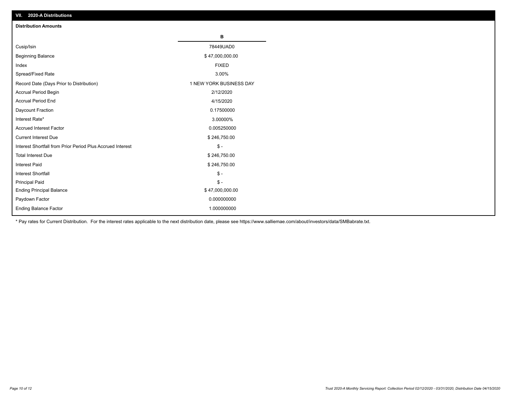| VII. 2020-A Distributions                                  |                         |
|------------------------------------------------------------|-------------------------|
| <b>Distribution Amounts</b>                                |                         |
|                                                            | в                       |
| Cusip/Isin                                                 | 78449UAD0               |
| <b>Beginning Balance</b>                                   | \$47,000,000.00         |
| Index                                                      | <b>FIXED</b>            |
| Spread/Fixed Rate                                          | 3.00%                   |
| Record Date (Days Prior to Distribution)                   | 1 NEW YORK BUSINESS DAY |
| Accrual Period Begin                                       | 2/12/2020               |
| <b>Accrual Period End</b>                                  | 4/15/2020               |
| Daycount Fraction                                          | 0.17500000              |
| Interest Rate*                                             | 3.00000%                |
| <b>Accrued Interest Factor</b>                             | 0.005250000             |
| <b>Current Interest Due</b>                                | \$246,750.00            |
| Interest Shortfall from Prior Period Plus Accrued Interest | $$ -$                   |
| <b>Total Interest Due</b>                                  | \$246,750.00            |
| Interest Paid                                              | \$246,750.00            |
| <b>Interest Shortfall</b>                                  | $$ -$                   |
| <b>Principal Paid</b>                                      | $$ -$                   |
| <b>Ending Principal Balance</b>                            | \$47,000,000.00         |
| Paydown Factor                                             | 0.000000000             |
| <b>Ending Balance Factor</b>                               | 1.000000000             |

\* Pay rates for Current Distribution. For the interest rates applicable to the next distribution date, please see https://www.salliemae.com/about/investors/data/SMBabrate.txt.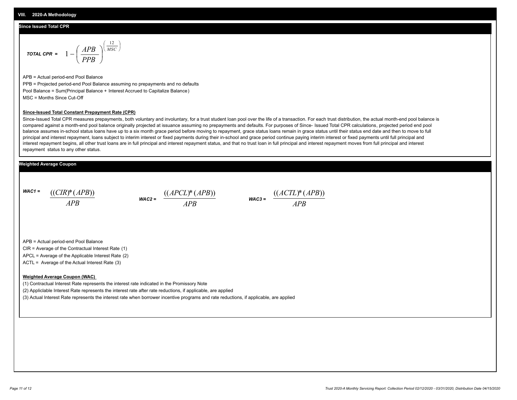#### **Since Issued Total CPR**

$$
\text{total CPR} = 1 - \left(\frac{APB}{PPB}\right)^{\left(\frac{12}{MSC}\right)}
$$

APB = Actual period-end Pool Balance PPB = Projected period-end Pool Balance assuming no prepayments and no defaults Pool Balance = Sum(Principal Balance + Interest Accrued to Capitalize Balance) MSC = Months Since Cut-Off

#### **Since-Issued Total Constant Prepayment Rate (CPR)**

Since-Issued Total CPR measures prepayments, both voluntary and involuntary, for a trust student loan pool over the life of a transaction. For each trust distribution, the actual month-end pool balance is compared against a month-end pool balance originally projected at issuance assuming no prepayments and defaults. For purposes of Since- Issued Total CPR calculations, projected period end pool balance assumes in-school status loans have up to a six month grace period before moving to repayment, grace status loans remain in grace status until their status end date and then to move to full principal and interest repayment, loans subject to interim interest or fixed payments during their in-school and grace period continue paying interim interest or fixed payments until full principal and interest repayment begins, all other trust loans are in full principal and interest repayment status, and that no trust loan in full principal and interest repayment moves from full principal and interest repayment status to any other status.

#### **Weighted Average Coupon**

*WAC1 = APB* ((*CIR*)\*(*APB*))

*WAC2 = APB*  $\frac{((APCL)^{*}(APB))}{APB}$  wac<sub>3</sub> =  $\frac{((ACTL)^{*}(A)P}{APB}$ 



APB = Actual period-end Pool Balance

CIR = Average of the Contractual Interest Rate (1)

APCL = Average of the Applicable Interest Rate (2)

ACTL = Average of the Actual Interest Rate (3)

#### **Weighted Average Coupon (WAC)**

(1) Contractual Interest Rate represents the interest rate indicated in the Promissory Note

(2) Appliclable Interest Rate represents the interest rate after rate reductions, if applicable, are applied

(3) Actual Interest Rate represents the interest rate when borrower incentive programs and rate reductions, if applicable, are applied